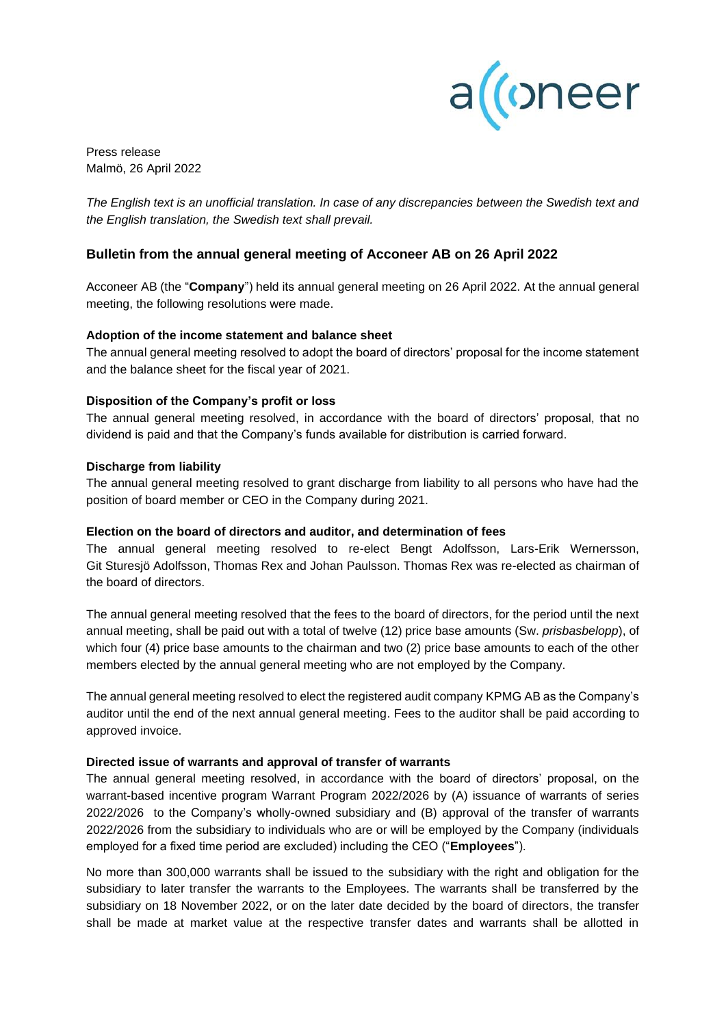

Press release Malmö, 26 April 2022

*The English text is an unofficial translation. In case of any discrepancies between the Swedish text and the English translation, the Swedish text shall prevail.*

# **Bulletin from the annual general meeting of Acconeer AB on 26 April 2022**

Acconeer AB (the "**Company**") held its annual general meeting on 26 April 2022. At the annual general meeting, the following resolutions were made.

## **Adoption of the income statement and balance sheet**

The annual general meeting resolved to adopt the board of directors' proposal for the income statement and the balance sheet for the fiscal year of 2021.

## **Disposition of the Company's profit or loss**

The annual general meeting resolved, in accordance with the board of directors' proposal, that no dividend is paid and that the Company's funds available for distribution is carried forward.

#### **Discharge from liability**

The annual general meeting resolved to grant discharge from liability to all persons who have had the position of board member or CEO in the Company during 2021.

#### **Election on the board of directors and auditor, and determination of fees**

The annual general meeting resolved to re-elect Bengt Adolfsson, Lars-Erik Wernersson, Git Sturesjö Adolfsson, Thomas Rex and Johan Paulsson. Thomas Rex was re-elected as chairman of the board of directors.

The annual general meeting resolved that the fees to the board of directors, for the period until the next annual meeting, shall be paid out with a total of twelve (12) price base amounts (Sw. *prisbasbelopp*), of which four (4) price base amounts to the chairman and two (2) price base amounts to each of the other members elected by the annual general meeting who are not employed by the Company.

The annual general meeting resolved to elect the registered audit company KPMG AB as the Company's auditor until the end of the next annual general meeting. Fees to the auditor shall be paid according to approved invoice.

## **Directed issue of warrants and approval of transfer of warrants**

The annual general meeting resolved, in accordance with the board of directors' proposal, on the warrant-based incentive program Warrant Program 2022/2026 by (A) issuance of warrants of series 2022/2026 to the Company's wholly-owned subsidiary and (B) approval of the transfer of warrants 2022/2026 from the subsidiary to individuals who are or will be employed by the Company (individuals employed for a fixed time period are excluded) including the CEO ("**Employees**").

No more than 300,000 warrants shall be issued to the subsidiary with the right and obligation for the subsidiary to later transfer the warrants to the Employees. The warrants shall be transferred by the subsidiary on 18 November 2022, or on the later date decided by the board of directors, the transfer shall be made at market value at the respective transfer dates and warrants shall be allotted in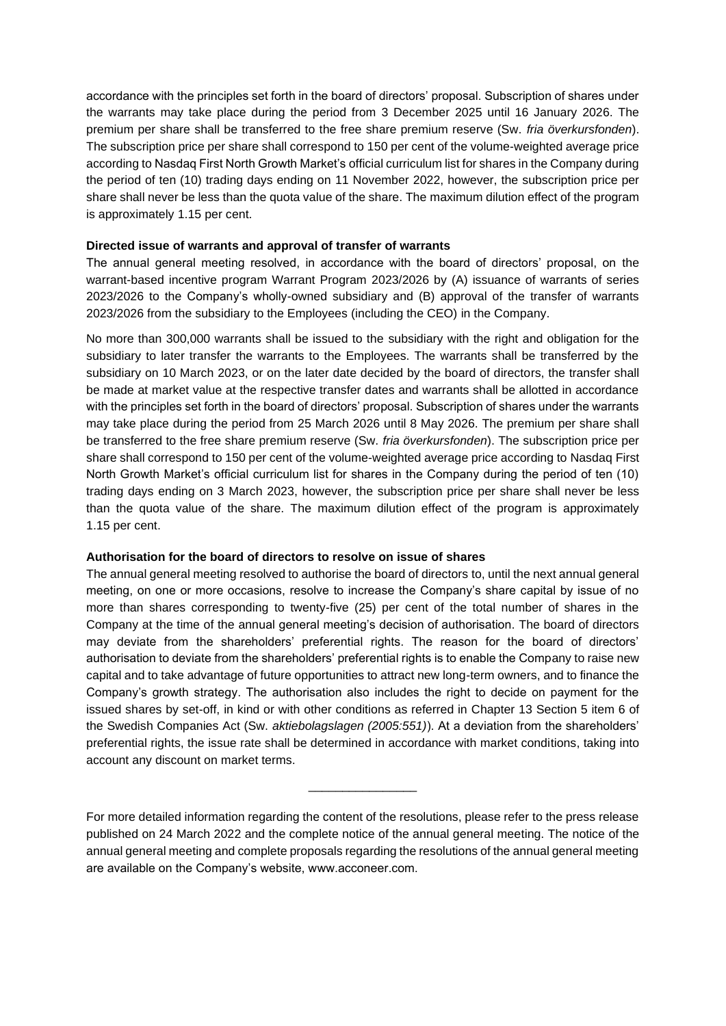accordance with the principles set forth in the board of directors' proposal. Subscription of shares under the warrants may take place during the period from 3 December 2025 until 16 January 2026. The premium per share shall be transferred to the free share premium reserve (Sw. *fria överkursfonden*). The subscription price per share shall correspond to 150 per cent of the volume-weighted average price according to Nasdaq First North Growth Market's official curriculum list for shares in the Company during the period of ten (10) trading days ending on 11 November 2022, however, the subscription price per share shall never be less than the quota value of the share. The maximum dilution effect of the program is approximately 1.15 per cent.

## **Directed issue of warrants and approval of transfer of warrants**

The annual general meeting resolved, in accordance with the board of directors' proposal, on the warrant-based incentive program Warrant Program 2023/2026 by (A) issuance of warrants of series 2023/2026 to the Company's wholly-owned subsidiary and (B) approval of the transfer of warrants 2023/2026 from the subsidiary to the Employees (including the CEO) in the Company.

No more than 300,000 warrants shall be issued to the subsidiary with the right and obligation for the subsidiary to later transfer the warrants to the Employees. The warrants shall be transferred by the subsidiary on 10 March 2023, or on the later date decided by the board of directors, the transfer shall be made at market value at the respective transfer dates and warrants shall be allotted in accordance with the principles set forth in the board of directors' proposal. Subscription of shares under the warrants may take place during the period from 25 March 2026 until 8 May 2026. The premium per share shall be transferred to the free share premium reserve (Sw. *fria överkursfonden*). The subscription price per share shall correspond to 150 per cent of the volume-weighted average price according to Nasdaq First North Growth Market's official curriculum list for shares in the Company during the period of ten (10) trading days ending on 3 March 2023, however, the subscription price per share shall never be less than the quota value of the share. The maximum dilution effect of the program is approximately 1.15 per cent.

## **Authorisation for the board of directors to resolve on issue of shares**

The annual general meeting resolved to authorise the board of directors to, until the next annual general meeting, on one or more occasions, resolve to increase the Company's share capital by issue of no more than shares corresponding to twenty-five (25) per cent of the total number of shares in the Company at the time of the annual general meeting's decision of authorisation. The board of directors may deviate from the shareholders' preferential rights. The reason for the board of directors' authorisation to deviate from the shareholders' preferential rights is to enable the Company to raise new capital and to take advantage of future opportunities to attract new long-term owners, and to finance the Company's growth strategy. The authorisation also includes the right to decide on payment for the issued shares by set-off, in kind or with other conditions as referred in Chapter 13 Section 5 item 6 of the Swedish Companies Act (Sw. *aktiebolagslagen (2005:551)*). At a deviation from the shareholders' preferential rights, the issue rate shall be determined in accordance with market conditions, taking into account any discount on market terms.

For more detailed information regarding the content of the resolutions, please refer to the press release published on 24 March 2022 and the complete notice of the annual general meeting. The notice of the annual general meeting and complete proposals regarding the resolutions of the annual general meeting are available on the Company's website, www.acconeer.com.

\_\_\_\_\_\_\_\_\_\_\_\_\_\_\_\_